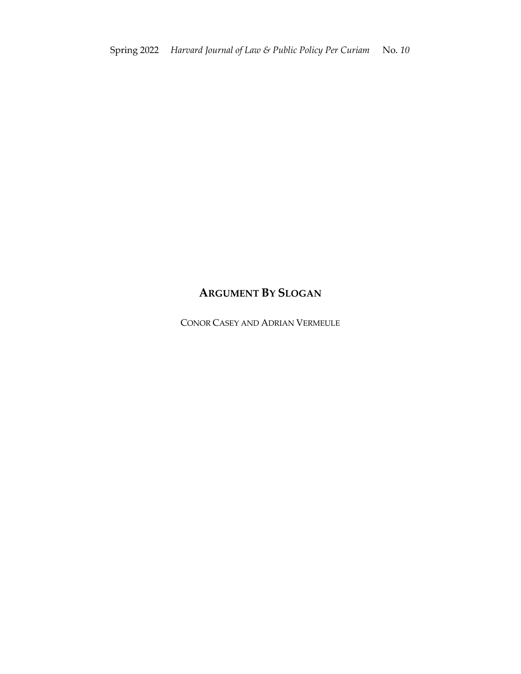# **ARGUMENT BY SLOGAN**

CONOR CASEY AND ADRIAN VERMEULE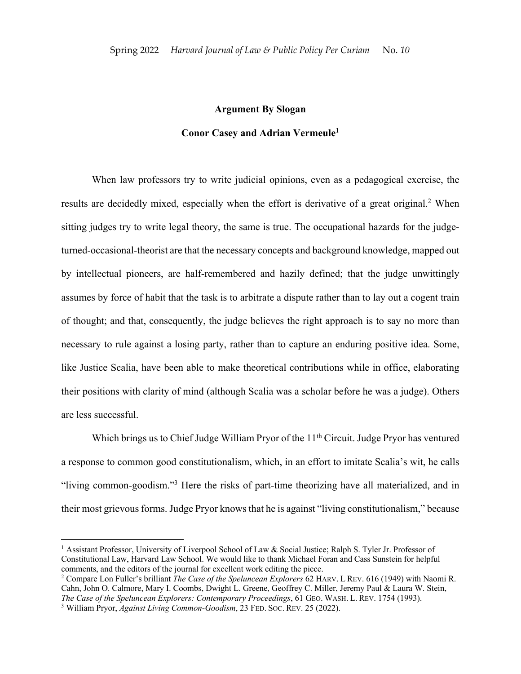## **Argument By Slogan**

## **Conor Casey and Adrian Vermeule1**

When law professors try to write judicial opinions, even as a pedagogical exercise, the results are decidedly mixed, especially when the effort is derivative of a great original.<sup>2</sup> When sitting judges try to write legal theory, the same is true. The occupational hazards for the judgeturned-occasional-theorist are that the necessary concepts and background knowledge, mapped out by intellectual pioneers, are half-remembered and hazily defined; that the judge unwittingly assumes by force of habit that the task is to arbitrate a dispute rather than to lay out a cogent train of thought; and that, consequently, the judge believes the right approach is to say no more than necessary to rule against a losing party, rather than to capture an enduring positive idea. Some, like Justice Scalia, have been able to make theoretical contributions while in office, elaborating their positions with clarity of mind (although Scalia was a scholar before he was a judge). Others are less successful.

Which brings us to Chief Judge William Pryor of the 11<sup>th</sup> Circuit. Judge Pryor has ventured a response to common good constitutionalism, which, in an effort to imitate Scalia's wit, he calls "living common-goodism."3 Here the risks of part-time theorizing have all materialized, and in their most grievous forms. Judge Pryor knows that he is against "living constitutionalism," because

<sup>&</sup>lt;sup>1</sup> Assistant Professor, University of Liverpool School of Law & Social Justice; Ralph S. Tyler Jr. Professor of Constitutional Law, Harvard Law School. We would like to thank Michael Foran and Cass Sunstein for helpful comments, and the editors of the journal for excellent work editing the piece. 2 Compare Lon Fuller's brilliant *The Case of the Speluncean Explorers* 62 HARV. <sup>L</sup> REV. 616 (1949) with Naomi R.

Cahn, John O. Calmore, Mary I. Coombs, Dwight L. Greene, Geoffrey C. Miller, Jeremy Paul & Laura W. Stein, *The Case of the Speluncean Explorers: Contemporary Proceedings*, 61 GEO. WASH. L. REV. 1754 (1993). 3 William Pryor, *Against Living Common-Goodism*, 23 FED. SOC. REV. 25 (2022).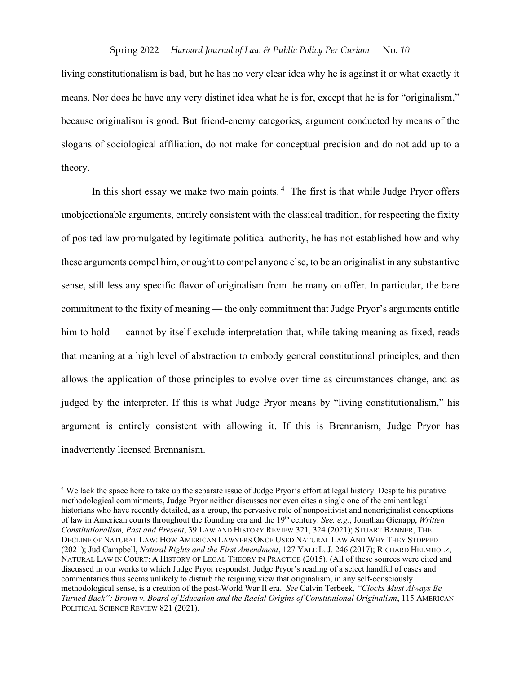living constitutionalism is bad, but he has no very clear idea why he is against it or what exactly it means. Nor does he have any very distinct idea what he is for, except that he is for "originalism," because originalism is good. But friend-enemy categories, argument conducted by means of the slogans of sociological affiliation, do not make for conceptual precision and do not add up to a theory.

In this short essay we make two main points.  $4$  The first is that while Judge Pryor offers unobjectionable arguments, entirely consistent with the classical tradition, for respecting the fixity of posited law promulgated by legitimate political authority, he has not established how and why these arguments compel him, or ought to compel anyone else, to be an originalist in any substantive sense, still less any specific flavor of originalism from the many on offer. In particular, the bare commitment to the fixity of meaning — the only commitment that Judge Pryor's arguments entitle him to hold — cannot by itself exclude interpretation that, while taking meaning as fixed, reads that meaning at a high level of abstraction to embody general constitutional principles, and then allows the application of those principles to evolve over time as circumstances change, and as judged by the interpreter. If this is what Judge Pryor means by "living constitutionalism," his argument is entirely consistent with allowing it. If this is Brennanism, Judge Pryor has inadvertently licensed Brennanism.

<sup>4</sup> We lack the space here to take up the separate issue of Judge Pryor's effort at legal history. Despite his putative methodological commitments, Judge Pryor neither discusses nor even cites a single one of the eminent legal historians who have recently detailed, as a group, the pervasive role of nonpositivist and nonoriginalist conceptions of law in American courts throughout the founding era and the 19th century. *See, e.g.*, Jonathan Gienapp, *Written Constitutionalism, Past and Present*, 39 LAW AND HISTORY REVIEW 321, 324 (2021); STUART BANNER, THE DECLINE OF NATURAL LAW: HOW AMERICAN LAWYERS ONCE USED NATURAL LAW AND WHY THEY STOPPED (2021); Jud Campbell, *Natural Rights and the First Amendment*, 127 YALE L. J. 246 (2017); RICHARD HELMHOLZ, NATURAL LAW IN COURT: A HISTORY OF LEGAL THEORY IN PRACTICE (2015). (All of these sources were cited and discussed in our works to which Judge Pryor responds). Judge Pryor's reading of a select handful of cases and commentaries thus seems unlikely to disturb the reigning view that originalism, in any self-consciously methodological sense, is a creation of the post-World War II era. *See* Calvin Terbeek, *"Clocks Must Always Be Turned Back": Brown v. Board of Education and the Racial Origins of Constitutional Originalism*, 115 AMERICAN POLITICAL SCIENCE REVIEW 821 (2021).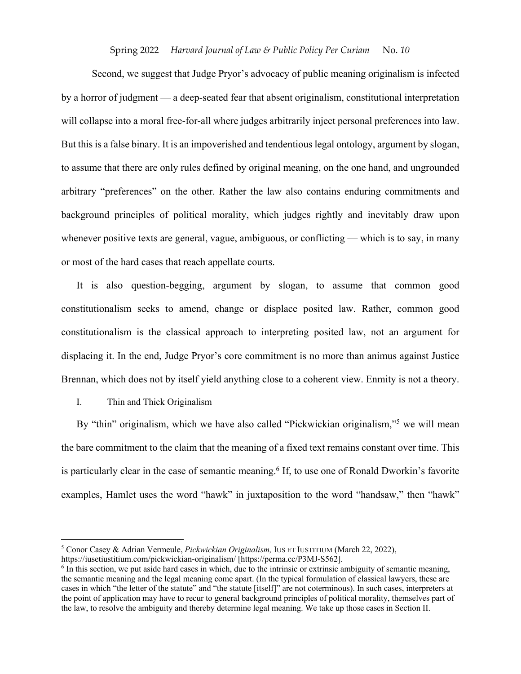Second, we suggest that Judge Pryor's advocacy of public meaning originalism is infected by a horror of judgment — a deep-seated fear that absent originalism, constitutional interpretation will collapse into a moral free-for-all where judges arbitrarily inject personal preferences into law. But this is a false binary. It is an impoverished and tendentious legal ontology, argument by slogan, to assume that there are only rules defined by original meaning, on the one hand, and ungrounded arbitrary "preferences" on the other. Rather the law also contains enduring commitments and background principles of political morality, which judges rightly and inevitably draw upon whenever positive texts are general, vague, ambiguous, or conflicting — which is to say, in many or most of the hard cases that reach appellate courts.

It is also question-begging, argument by slogan, to assume that common good constitutionalism seeks to amend, change or displace posited law. Rather, common good constitutionalism is the classical approach to interpreting posited law, not an argument for displacing it. In the end, Judge Pryor's core commitment is no more than animus against Justice Brennan, which does not by itself yield anything close to a coherent view. Enmity is not a theory.

## I. Thin and Thick Originalism

By "thin" originalism, which we have also called "Pickwickian originalism,"<sup>5</sup> we will mean the bare commitment to the claim that the meaning of a fixed text remains constant over time. This is particularly clear in the case of semantic meaning.<sup>6</sup> If, to use one of Ronald Dworkin's favorite examples, Hamlet uses the word "hawk" in juxtaposition to the word "handsaw," then "hawk"

<sup>5</sup> Conor Casey & Adrian Vermeule, *Pickwickian Originalism,* IUS ET IUSTITIUM (March 22, 2022),

https://iusetiustitium.com/pickwickian-originalism/ [https://perma.cc/P3MJ-S562].

<sup>6</sup> In this section, we put aside hard cases in which, due to the intrinsic or extrinsic ambiguity of semantic meaning, the semantic meaning and the legal meaning come apart. (In the typical formulation of classical lawyers, these are cases in which "the letter of the statute" and "the statute [itself]" are not coterminous). In such cases, interpreters at the point of application may have to recur to general background principles of political morality, themselves part of the law, to resolve the ambiguity and thereby determine legal meaning. We take up those cases in Section II.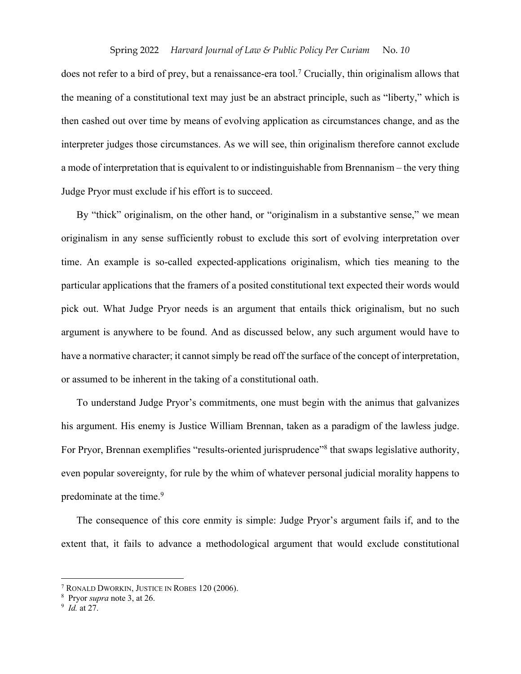does not refer to a bird of prey, but a renaissance-era tool.7 Crucially, thin originalism allows that the meaning of a constitutional text may just be an abstract principle, such as "liberty," which is then cashed out over time by means of evolving application as circumstances change, and as the interpreter judges those circumstances. As we will see, thin originalism therefore cannot exclude a mode of interpretation that is equivalent to or indistinguishable from Brennanism – the very thing Judge Pryor must exclude if his effort is to succeed.

By "thick" originalism, on the other hand, or "originalism in a substantive sense," we mean originalism in any sense sufficiently robust to exclude this sort of evolving interpretation over time. An example is so-called expected-applications originalism, which ties meaning to the particular applications that the framers of a posited constitutional text expected their words would pick out. What Judge Pryor needs is an argument that entails thick originalism, but no such argument is anywhere to be found. And as discussed below, any such argument would have to have a normative character; it cannot simply be read off the surface of the concept of interpretation, or assumed to be inherent in the taking of a constitutional oath.

To understand Judge Pryor's commitments, one must begin with the animus that galvanizes his argument. His enemy is Justice William Brennan, taken as a paradigm of the lawless judge. For Pryor, Brennan exemplifies "results-oriented jurisprudence"<sup>8</sup> that swaps legislative authority, even popular sovereignty, for rule by the whim of whatever personal judicial morality happens to predominate at the time.<sup>9</sup>

The consequence of this core enmity is simple: Judge Pryor's argument fails if, and to the extent that, it fails to advance a methodological argument that would exclude constitutional

<sup>7</sup> RONALD DWORKIN, JUSTICE IN ROBES 120 (2006).

<sup>8</sup> Pryor *supra* note 3, at 26.

<sup>9</sup> *Id.* at 27.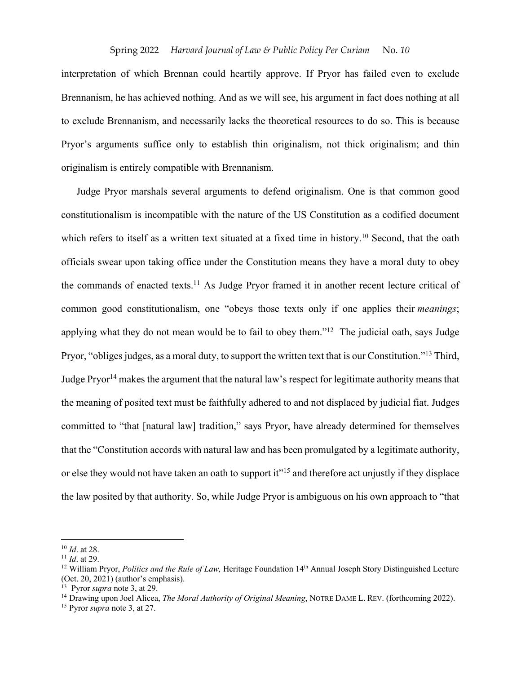interpretation of which Brennan could heartily approve. If Pryor has failed even to exclude Brennanism, he has achieved nothing. And as we will see, his argument in fact does nothing at all to exclude Brennanism, and necessarily lacks the theoretical resources to do so. This is because Pryor's arguments suffice only to establish thin originalism, not thick originalism; and thin originalism is entirely compatible with Brennanism.

Judge Pryor marshals several arguments to defend originalism. One is that common good constitutionalism is incompatible with the nature of the US Constitution as a codified document which refers to itself as a written text situated at a fixed time in history.<sup>10</sup> Second, that the oath officials swear upon taking office under the Constitution means they have a moral duty to obey the commands of enacted texts.<sup>11</sup> As Judge Pryor framed it in another recent lecture critical of common good constitutionalism, one "obeys those texts only if one applies their *meanings*; applying what they do not mean would be to fail to obey them."<sup>12</sup> The judicial oath, says Judge Pryor, "obliges judges, as a moral duty, to support the written text that is our Constitution."13 Third, Judge Pryor<sup>14</sup> makes the argument that the natural law's respect for legitimate authority means that the meaning of posited text must be faithfully adhered to and not displaced by judicial fiat. Judges committed to "that [natural law] tradition," says Pryor, have already determined for themselves that the "Constitution accords with natural law and has been promulgated by a legitimate authority, or else they would not have taken an oath to support it"<sup>15</sup> and therefore act unjustly if they displace the law posited by that authority. So, while Judge Pryor is ambiguous on his own approach to "that

<sup>10</sup> *Id*. at 28.

<sup>11</sup> *Id*. at 29.

<sup>&</sup>lt;sup>12</sup> William Pryor, *Politics and the Rule of Law*, Heritage Foundation 14<sup>th</sup> Annual Joseph Story Distinguished Lecture (Oct. 20, 2021) (author's emphasis).

<sup>13</sup> Pyror *supra* note 3, at 29.

<sup>14</sup> Drawing upon Joel Alicea, *The Moral Authority of Original Meaning*, NOTRE DAME L. REV. (forthcoming 2022).

<sup>15</sup> Pyror *supra* note 3, at 27.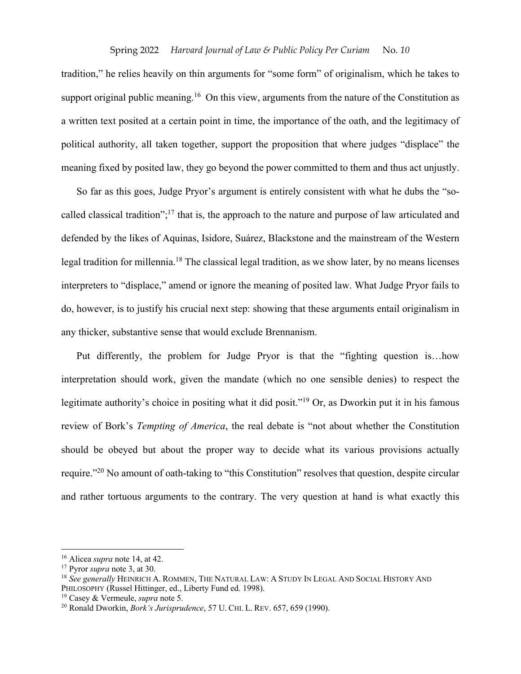tradition," he relies heavily on thin arguments for "some form" of originalism, which he takes to support original public meaning.<sup>16</sup> On this view, arguments from the nature of the Constitution as a written text posited at a certain point in time, the importance of the oath, and the legitimacy of political authority, all taken together, support the proposition that where judges "displace" the meaning fixed by posited law, they go beyond the power committed to them and thus act unjustly.

So far as this goes, Judge Pryor's argument is entirely consistent with what he dubs the "socalled classical tradition";17 that is, the approach to the nature and purpose of law articulated and defended by the likes of Aquinas, Isidore, Suárez, Blackstone and the mainstream of the Western legal tradition for millennia.<sup>18</sup> The classical legal tradition, as we show later, by no means licenses interpreters to "displace," amend or ignore the meaning of posited law. What Judge Pryor fails to do, however, is to justify his crucial next step: showing that these arguments entail originalism in any thicker, substantive sense that would exclude Brennanism.

Put differently, the problem for Judge Pryor is that the "fighting question is…how interpretation should work, given the mandate (which no one sensible denies) to respect the legitimate authority's choice in positing what it did posit."<sup>19</sup> Or, as Dworkin put it in his famous review of Bork's *Tempting of America*, the real debate is "not about whether the Constitution should be obeyed but about the proper way to decide what its various provisions actually require."20 No amount of oath-taking to "this Constitution" resolves that question, despite circular and rather tortuous arguments to the contrary. The very question at hand is what exactly this

<sup>16</sup> Alicea *supra* note 14, at 42.

<sup>17</sup> Pyror *supra* note 3, at 30.

<sup>18</sup> *See generally* HEINRICH A. ROMMEN, THE NATURAL LAW: A STUDY IN LEGAL AND SOCIAL HISTORY AND PHILOSOPHY (Russel Hittinger, ed., Liberty Fund ed. 1998).

<sup>19</sup> Casey & Vermeule, *supra* note 5.

<sup>20</sup> Ronald Dworkin, *Bork's Jurisprudence*, 57 U. CHI. L. REV. 657, 659 (1990).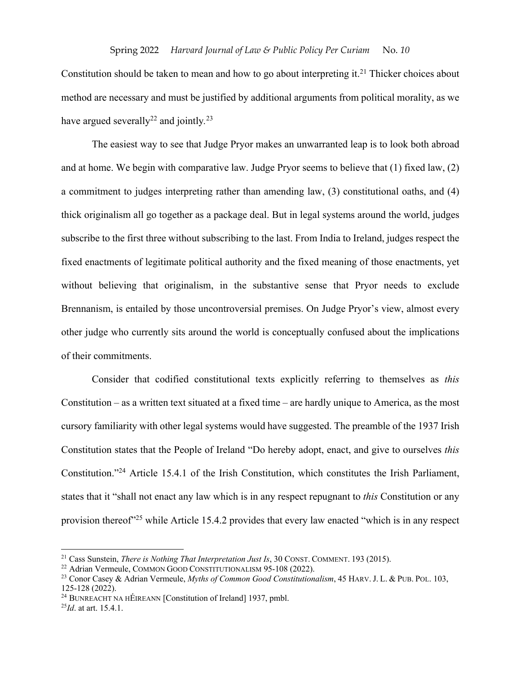Constitution should be taken to mean and how to go about interpreting it. <sup>21</sup> Thicker choices about method are necessary and must be justified by additional arguments from political morality, as we have argued severally<sup>22</sup> and jointly.<sup>23</sup>

The easiest way to see that Judge Pryor makes an unwarranted leap is to look both abroad and at home. We begin with comparative law. Judge Pryor seems to believe that (1) fixed law, (2) a commitment to judges interpreting rather than amending law, (3) constitutional oaths, and (4) thick originalism all go together as a package deal. But in legal systems around the world, judges subscribe to the first three without subscribing to the last. From India to Ireland, judges respect the fixed enactments of legitimate political authority and the fixed meaning of those enactments, yet without believing that originalism, in the substantive sense that Pryor needs to exclude Brennanism, is entailed by those uncontroversial premises. On Judge Pryor's view, almost every other judge who currently sits around the world is conceptually confused about the implications of their commitments.

Consider that codified constitutional texts explicitly referring to themselves as *this* Constitution – as a written text situated at a fixed time – are hardly unique to America, as the most cursory familiarity with other legal systems would have suggested. The preamble of the 1937 Irish Constitution states that the People of Ireland "Do hereby adopt, enact, and give to ourselves *this* Constitution."24 Article 15.4.1 of the Irish Constitution, which constitutes the Irish Parliament, states that it "shall not enact any law which is in any respect repugnant to *this* Constitution or any provision thereof<sup>25</sup> while Article 15.4.2 provides that every law enacted "which is in any respect

<sup>&</sup>lt;sup>21</sup> Cass Sunstein, *There is Nothing That Interpretation Just Is*, 30 CONST. COMMENT. 193 (2015).<br><sup>22</sup> Adrian Vermeule, COMMON GOOD CONSTITUTIONALISM 95-108 (2022).<br><sup>23</sup> Conor Casey & Adrian Vermeule, *Myths of Common Go* 

<sup>&</sup>lt;sup>24</sup> BUNREACHT NA HÉIREANN [Constitution of Ireland] 1937, pmbl.

<sup>25</sup>*Id*. at art. 15.4.1.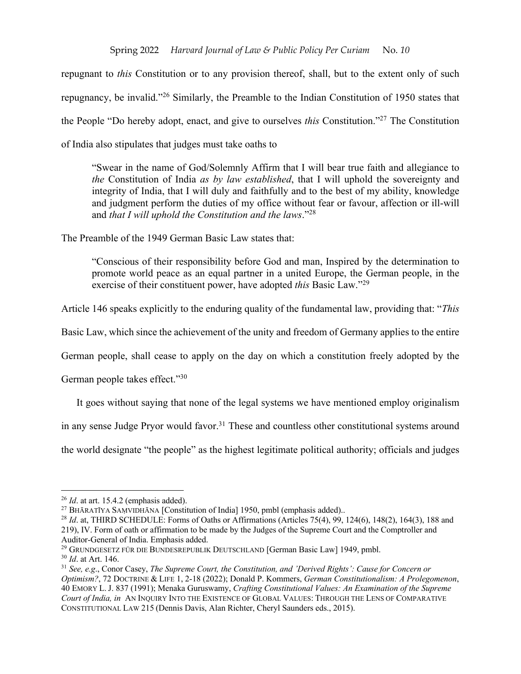repugnant to *this* Constitution or to any provision thereof, shall, but to the extent only of such repugnancy, be invalid."26 Similarly, the Preamble to the Indian Constitution of 1950 states that the People "Do hereby adopt, enact, and give to ourselves *this* Constitution."27 The Constitution of India also stipulates that judges must take oaths to

"Swear in the name of God/Solemnly Affirm that I will bear true faith and allegiance to *the* Constitution of India *as by law established*, that I will uphold the sovereignty and integrity of India, that I will duly and faithfully and to the best of my ability, knowledge and judgment perform the duties of my office without fear or favour, affection or ill-will and *that I will uphold the Constitution and the laws*."28

The Preamble of the 1949 German Basic Law states that:

"Conscious of their responsibility before God and man, Inspired by the determination to promote world peace as an equal partner in a united Europe, the German people, in the exercise of their constituent power, have adopted *this* Basic Law."29

Article 146 speaks explicitly to the enduring quality of the fundamental law, providing that: "*This*

Basic Law, which since the achievement of the unity and freedom of Germany applies to the entire

German people, shall cease to apply on the day on which a constitution freely adopted by the

German people takes effect."30

It goes without saying that none of the legal systems we have mentioned employ originalism

in any sense Judge Pryor would favor.<sup>31</sup> These and countless other constitutional systems around

the world designate "the people" as the highest legitimate political authority; officials and judges

<sup>26</sup> *Id*. at art. 15.4.2 (emphasis added).

<sup>&</sup>lt;sup>27</sup> BHĀRATĪYA SAMVIDHĀNA [Constitution of India] 1950, pmbl (emphasis added)..

<sup>28</sup> *Id*. at, THIRD SCHEDULE: Forms of Oaths or Affirmations (Articles 75(4), 99, 124(6), 148(2), 164(3), 188 and 219), IV. Form of oath or affirmation to be made by the Judges of the Supreme Court and the Comptroller and Auditor-General of India. Emphasis added.<br><sup>29</sup> GRUNDGESETZ FÜR DIE BUNDESREPUBLIK DEUTSCHLAND [German Basic Law] 1949, pmbl.<br><sup>30</sup> *Id.* at Art. 146.

<sup>31</sup> *See, e.g*., Conor Casey, *The Supreme Court, the Constitution, and 'Derived Rights': Cause for Concern or Optimism?*, 72 DOCTRINE & LIFE 1, 2-18 (2022); Donald P. Kommers, *German Constitutionalism: A Prolegomenon*, 40 EMORY L. J. 837 (1991); Menaka Guruswamy, *Crafting Constitutional Values: An Examination of the Supreme Court of India, in* AN INQUIRY INTO THE EXISTENCE OF GLOBAL VALUES: THROUGH THE LENS OF COMPARATIVE CONSTITUTIONAL LAW 215 (Dennis Davis, Alan Richter, Cheryl Saunders eds., 2015).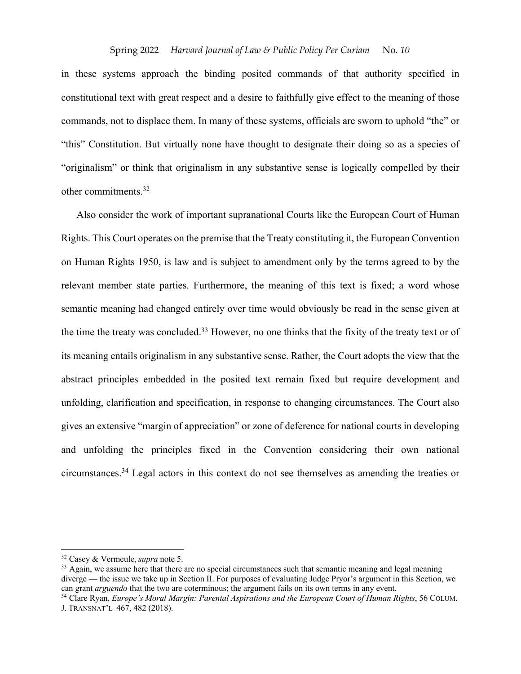in these systems approach the binding posited commands of that authority specified in constitutional text with great respect and a desire to faithfully give effect to the meaning of those commands, not to displace them. In many of these systems, officials are sworn to uphold "the" or "this" Constitution. But virtually none have thought to designate their doing so as a species of "originalism" or think that originalism in any substantive sense is logically compelled by their other commitments. 32

Also consider the work of important supranational Courts like the European Court of Human Rights. This Court operates on the premise that the Treaty constituting it, the European Convention on Human Rights 1950, is law and is subject to amendment only by the terms agreed to by the relevant member state parties. Furthermore, the meaning of this text is fixed; a word whose semantic meaning had changed entirely over time would obviously be read in the sense given at the time the treaty was concluded.<sup>33</sup> However, no one thinks that the fixity of the treaty text or of its meaning entails originalism in any substantive sense. Rather, the Court adopts the view that the abstract principles embedded in the posited text remain fixed but require development and unfolding, clarification and specification, in response to changing circumstances. The Court also gives an extensive "margin of appreciation" or zone of deference for national courts in developing and unfolding the principles fixed in the Convention considering their own national circumstances.34 Legal actors in this context do not see themselves as amending the treaties or

<sup>32</sup> Casey & Vermeule, *supra* note 5.

<sup>&</sup>lt;sup>33</sup> Again, we assume here that there are no special circumstances such that semantic meaning and legal meaning diverge — the issue we take up in Section II. For purposes of evaluating Judge Pryor's argument in this Section, we can grant *arguendo* that the two are coterminous; the argument fails on its own terms in any event.

<sup>34</sup> Clare Ryan, *Europe's Moral Margin: Parental Aspirations and the European Court of Human Rights*, 56 COLUM. J. TRANSNAT'L 467, 482 (2018).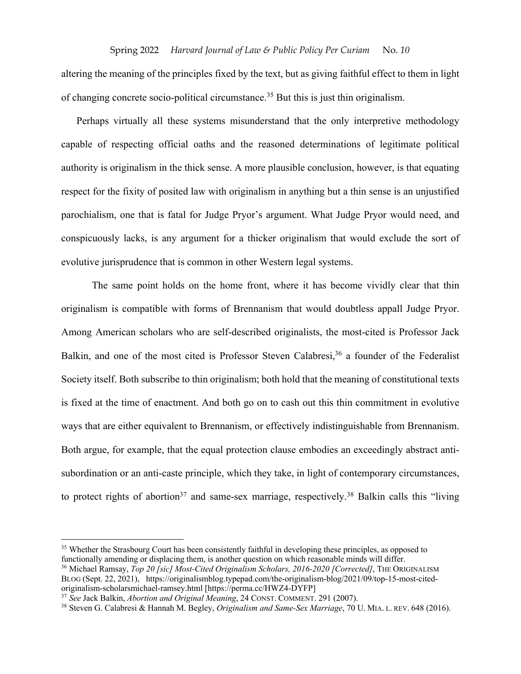altering the meaning of the principles fixed by the text, but as giving faithful effect to them in light of changing concrete socio-political circumstance.<sup>35</sup> But this is just thin originalism.

Perhaps virtually all these systems misunderstand that the only interpretive methodology capable of respecting official oaths and the reasoned determinations of legitimate political authority is originalism in the thick sense. A more plausible conclusion, however, is that equating respect for the fixity of posited law with originalism in anything but a thin sense is an unjustified parochialism, one that is fatal for Judge Pryor's argument. What Judge Pryor would need, and conspicuously lacks, is any argument for a thicker originalism that would exclude the sort of evolutive jurisprudence that is common in other Western legal systems.

The same point holds on the home front, where it has become vividly clear that thin originalism is compatible with forms of Brennanism that would doubtless appall Judge Pryor. Among American scholars who are self-described originalists, the most-cited is Professor Jack Balkin, and one of the most cited is Professor Steven Calabresi,<sup>36</sup> a founder of the Federalist Society itself. Both subscribe to thin originalism; both hold that the meaning of constitutional texts is fixed at the time of enactment. And both go on to cash out this thin commitment in evolutive ways that are either equivalent to Brennanism, or effectively indistinguishable from Brennanism. Both argue, for example, that the equal protection clause embodies an exceedingly abstract antisubordination or an anti-caste principle, which they take, in light of contemporary circumstances, to protect rights of abortion<sup>37</sup> and same-sex marriage, respectively.<sup>38</sup> Balkin calls this "living"

<sup>&</sup>lt;sup>35</sup> Whether the Strasbourg Court has been consistently faithful in developing these principles, as opposed to functionally amending or displacing them, is another question on which reasonable minds will differ.

<sup>36</sup> Michael Ramsay, *Top 20 [sic] Most-Cited Originalism Scholars, 2016-2020 [Corrected]*, THE ORIGINALISM BLOG (Sept. 22, 2021), https://originalismblog.typepad.com/the-originalism-blog/2021/09/top-15-most-cited-<br>originalism-scholarsmichael-ramsey.html [https://perma.cc/HWZ4-DYFP]

<sup>&</sup>lt;sup>37</sup> See Jack Balkin, *Abortion and Original Meaning*, 24 CONST. COMMENT. 291 (2007).

<sup>38</sup> Steven G. Calabresi & Hannah M. Begley, *Originalism and Same-Sex Marriage*, 70 U. MIA. L. REV. 648 (2016).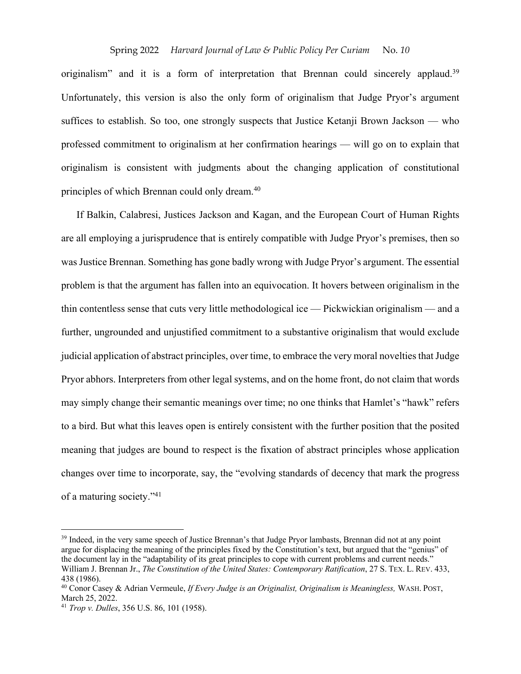originalism" and it is a form of interpretation that Brennan could sincerely applaud.<sup>39</sup> Unfortunately, this version is also the only form of originalism that Judge Pryor's argument suffices to establish. So too, one strongly suspects that Justice Ketanji Brown Jackson — who professed commitment to originalism at her confirmation hearings — will go on to explain that originalism is consistent with judgments about the changing application of constitutional principles of which Brennan could only dream.40

If Balkin, Calabresi, Justices Jackson and Kagan, and the European Court of Human Rights are all employing a jurisprudence that is entirely compatible with Judge Pryor's premises, then so was Justice Brennan. Something has gone badly wrong with Judge Pryor's argument. The essential problem is that the argument has fallen into an equivocation. It hovers between originalism in the thin contentless sense that cuts very little methodological ice — Pickwickian originalism — and a further, ungrounded and unjustified commitment to a substantive originalism that would exclude judicial application of abstract principles, over time, to embrace the very moral novelties that Judge Pryor abhors. Interpreters from other legal systems, and on the home front, do not claim that words may simply change their semantic meanings over time; no one thinks that Hamlet's "hawk" refers to a bird. But what this leaves open is entirely consistent with the further position that the posited meaning that judges are bound to respect is the fixation of abstract principles whose application changes over time to incorporate, say, the "evolving standards of decency that mark the progress of a maturing society."41

<sup>&</sup>lt;sup>39</sup> Indeed, in the very same speech of Justice Brennan's that Judge Pryor lambasts, Brennan did not at any point argue for displacing the meaning of the principles fixed by the Constitution's text, but argued that the "genius" of the document lay in the "adaptability of its great principles to cope with current problems and current needs." William J. Brennan Jr., *The Constitution of the United States: Contemporary Ratification*, 27 S. TEX. L. REV. 433, 438 (1986).

<sup>40</sup> Conor Casey & Adrian Vermeule, *If Every Judge is an Originalist, Originalism is Meaningless,* WASH. POST, March 25, 2022.

<sup>41</sup> *Trop v. Dulles*, 356 U.S. 86, 101 (1958).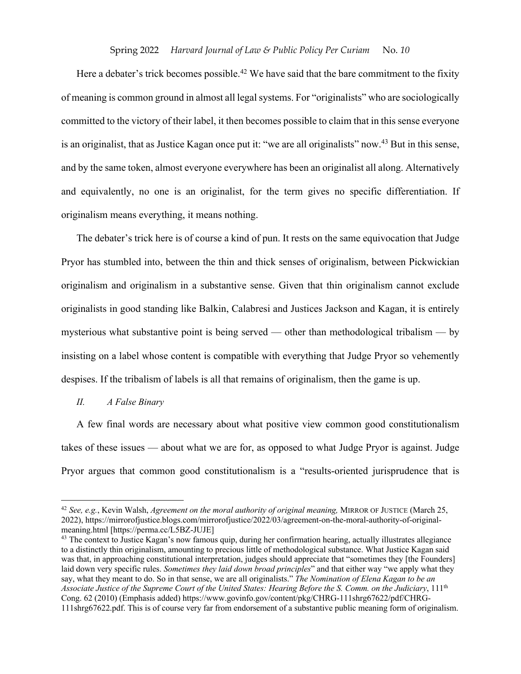Here a debater's trick becomes possible.<sup>42</sup> We have said that the bare commitment to the fixity of meaning is common ground in almost all legal systems. For "originalists" who are sociologically committed to the victory of their label, it then becomes possible to claim that in this sense everyone is an originalist, that as Justice Kagan once put it: "we are all originalists" now.<sup>43</sup> But in this sense, and by the same token, almost everyone everywhere has been an originalist all along. Alternatively and equivalently, no one is an originalist, for the term gives no specific differentiation. If originalism means everything, it means nothing.

The debater's trick here is of course a kind of pun. It rests on the same equivocation that Judge Pryor has stumbled into, between the thin and thick senses of originalism, between Pickwickian originalism and originalism in a substantive sense. Given that thin originalism cannot exclude originalists in good standing like Balkin, Calabresi and Justices Jackson and Kagan, it is entirely mysterious what substantive point is being served — other than methodological tribalism — by insisting on a label whose content is compatible with everything that Judge Pryor so vehemently despises. If the tribalism of labels is all that remains of originalism, then the game is up.

## *II. A False Binary*

A few final words are necessary about what positive view common good constitutionalism takes of these issues — about what we are for, as opposed to what Judge Pryor is against. Judge Pryor argues that common good constitutionalism is a "results-oriented jurisprudence that is

<sup>42</sup> *See, e.g.*, Kevin Walsh, *Agreement on the moral authority of original meaning,* MIRROR OF JUSTICE (March 25, 2022), https://mirrorofjustice.blogs.com/mirrorofjustice/2022/03/agreement-on-the-moral-authority-of-originalmeaning.html [https://perma.cc/L5BZ-JUJE]<br><sup>43</sup> The context to Justice Kagan's now famous quip, during her confirmation hearing, actually illustrates allegiance

to a distinctly thin originalism, amounting to precious little of methodological substance. What Justice Kagan said was that, in approaching constitutional interpretation, judges should appreciate that "sometimes they [the Founders] laid down very specific rules. *Sometimes they laid down broad principles*" and that either way "we apply what they say, what they meant to do. So in that sense, we are all originalists." *The Nomination of Elena Kagan to be an Associate Justice of the Supreme Court of the United States: Hearing Before the S. Comm. on the Judiciary*, 111th Cong. 62 (2010) (Emphasis added) https://www.govinfo.gov/content/pkg/CHRG-111shrg67622/pdf/CHRG-111shrg67622.pdf. This is of course very far from endorsement of a substantive public meaning form of originalism.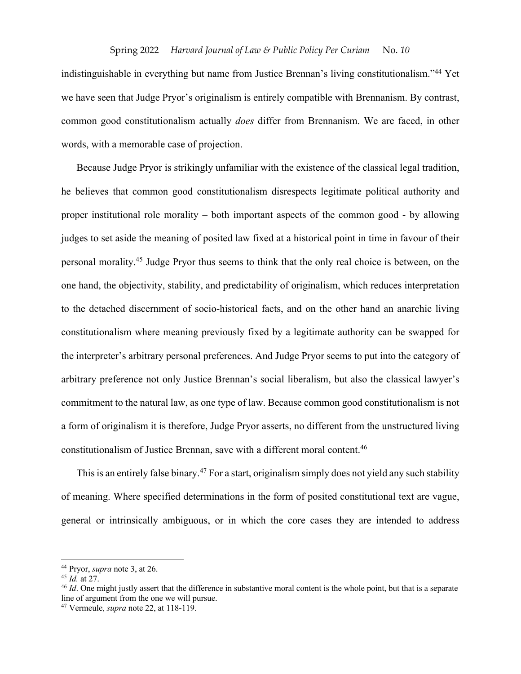indistinguishable in everything but name from Justice Brennan's living constitutionalism."44 Yet we have seen that Judge Pryor's originalism is entirely compatible with Brennanism. By contrast, common good constitutionalism actually *does* differ from Brennanism. We are faced, in other words, with a memorable case of projection.

Because Judge Pryor is strikingly unfamiliar with the existence of the classical legal tradition, he believes that common good constitutionalism disrespects legitimate political authority and proper institutional role morality – both important aspects of the common good - by allowing judges to set aside the meaning of posited law fixed at a historical point in time in favour of their personal morality.45 Judge Pryor thus seems to think that the only real choice is between, on the one hand, the objectivity, stability, and predictability of originalism, which reduces interpretation to the detached discernment of socio-historical facts, and on the other hand an anarchic living constitutionalism where meaning previously fixed by a legitimate authority can be swapped for the interpreter's arbitrary personal preferences. And Judge Pryor seems to put into the category of arbitrary preference not only Justice Brennan's social liberalism, but also the classical lawyer's commitment to the natural law, as one type of law. Because common good constitutionalism is not a form of originalism it is therefore, Judge Pryor asserts, no different from the unstructured living constitutionalism of Justice Brennan, save with a different moral content.46

This is an entirely false binary.<sup>47</sup> For a start, originalism simply does not yield any such stability of meaning. Where specified determinations in the form of posited constitutional text are vague, general or intrinsically ambiguous, or in which the core cases they are intended to address

<sup>44</sup> Pryor, *supra* note 3, at 26.

<sup>&</sup>lt;sup>46</sup> *Id*. One might justly assert that the difference in substantive moral content is the whole point, but that is a separate line of argument from the one we will pursue.

<sup>47</sup> Vermeule, *supra* note 22, at 118-119.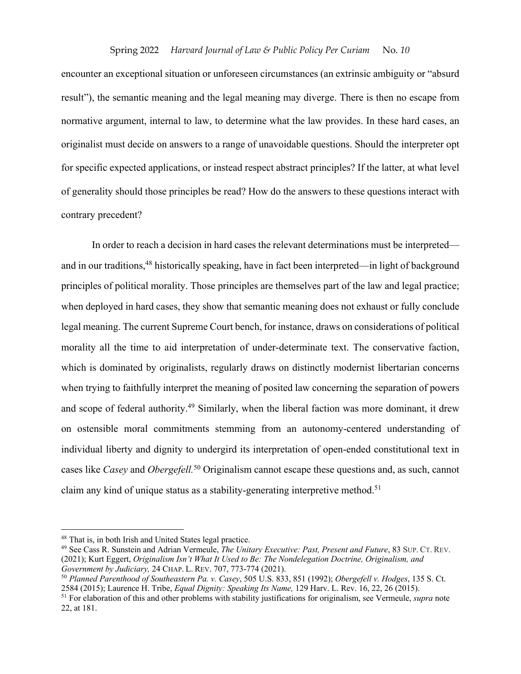encounter an exceptional situation or unforeseen circumstances (an extrinsic ambiguity or "absurd result"), the semantic meaning and the legal meaning may diverge. There is then no escape from normative argument, internal to law, to determine what the law provides. In these hard cases, an originalist must decide on answers to a range of unavoidable questions. Should the interpreter opt for specific expected applications, or instead respect abstract principles? If the latter, at what level of generality should those principles be read? How do the answers to these questions interact with contrary precedent?

In order to reach a decision in hard cases the relevant determinations must be interpreted and in our traditions,48 historically speaking, have in fact been interpreted—in light of background principles of political morality. Those principles are themselves part of the law and legal practice; when deployed in hard cases, they show that semantic meaning does not exhaust or fully conclude legal meaning. The current Supreme Court bench, for instance, draws on considerations of political morality all the time to aid interpretation of under-determinate text. The conservative faction, which is dominated by originalists, regularly draws on distinctly modernist libertarian concerns when trying to faithfully interpret the meaning of posited law concerning the separation of powers and scope of federal authority.<sup>49</sup> Similarly, when the liberal faction was more dominant, it drew on ostensible moral commitments stemming from an autonomy-centered understanding of individual liberty and dignity to undergird its interpretation of open-ended constitutional text in cases like *Casey* and *Obergefell.*<sup>50</sup> Originalism cannot escape these questions and, as such, cannot claim any kind of unique status as a stability-generating interpretive method.<sup>51</sup>

<sup>48</sup> That is, in both Irish and United States legal practice.

<sup>49</sup> See Cass R. Sunstein and Adrian Vermeule, *The Unitary Executive: Past, Present and Future*, 83 SUP. CT. REV. (2021); Kurt Eggert, *Originalism Isn't What It Used to Be: The Nondelegation Doctrine, Originalism, and Government by Judiciary,* 24 CHAP. L. REV. 707, 773-774 (2021).

<sup>50</sup> *Planned Parenthood of Southeastern Pa. v. Casey*, 505 U.S. 833, 851 (1992); *Obergefell v. Hodges*, 135 S. Ct.

<sup>&</sup>lt;sup>51</sup> For elaboration of this and other problems with stability justifications for originalism, see Vermeule, *supra* note 22, at 181.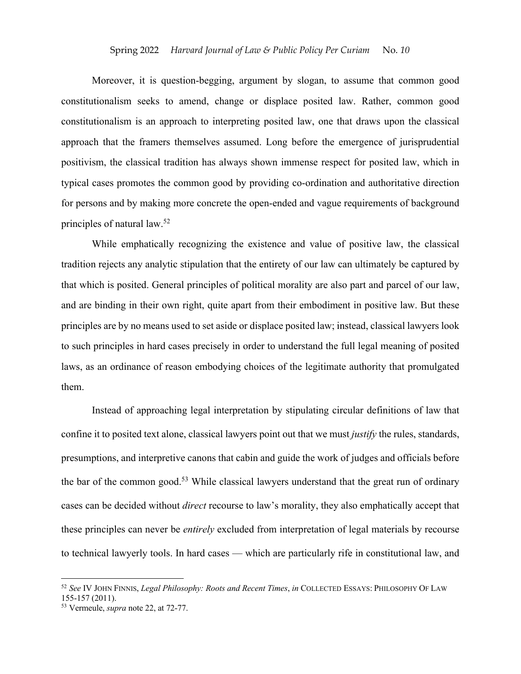Moreover, it is question-begging, argument by slogan, to assume that common good constitutionalism seeks to amend, change or displace posited law. Rather, common good constitutionalism is an approach to interpreting posited law, one that draws upon the classical approach that the framers themselves assumed. Long before the emergence of jurisprudential positivism, the classical tradition has always shown immense respect for posited law, which in typical cases promotes the common good by providing co-ordination and authoritative direction for persons and by making more concrete the open-ended and vague requirements of background principles of natural law.52

While emphatically recognizing the existence and value of positive law, the classical tradition rejects any analytic stipulation that the entirety of our law can ultimately be captured by that which is posited. General principles of political morality are also part and parcel of our law, and are binding in their own right, quite apart from their embodiment in positive law. But these principles are by no means used to set aside or displace posited law; instead, classical lawyers look to such principles in hard cases precisely in order to understand the full legal meaning of posited laws, as an ordinance of reason embodying choices of the legitimate authority that promulgated them.

Instead of approaching legal interpretation by stipulating circular definitions of law that confine it to posited text alone, classical lawyers point out that we must *justify* the rules, standards, presumptions, and interpretive canons that cabin and guide the work of judges and officials before the bar of the common good.<sup>53</sup> While classical lawyers understand that the great run of ordinary cases can be decided without *direct* recourse to law's morality, they also emphatically accept that these principles can never be *entirely* excluded from interpretation of legal materials by recourse to technical lawyerly tools. In hard cases — which are particularly rife in constitutional law, and

<sup>52</sup> *See* IV JOHN FINNIS, *Legal Philosophy: Roots and Recent Times*, *in* COLLECTED ESSAYS: PHILOSOPHY OF LAW 155-157 (2011).

<sup>53</sup> Vermeule, *supra* note 22, at 72-77.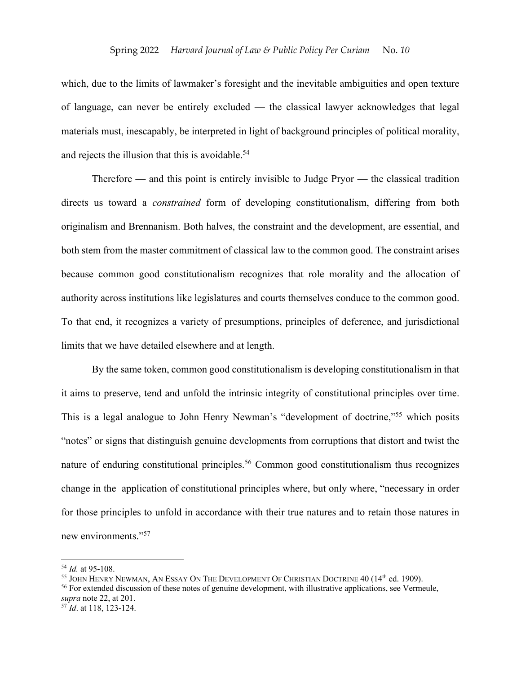which, due to the limits of lawmaker's foresight and the inevitable ambiguities and open texture of language, can never be entirely excluded — the classical lawyer acknowledges that legal materials must, inescapably, be interpreted in light of background principles of political morality, and rejects the illusion that this is avoidable.<sup>54</sup>

Therefore — and this point is entirely invisible to Judge Pryor — the classical tradition directs us toward a *constrained* form of developing constitutionalism, differing from both originalism and Brennanism. Both halves, the constraint and the development, are essential, and both stem from the master commitment of classical law to the common good. The constraint arises because common good constitutionalism recognizes that role morality and the allocation of authority across institutions like legislatures and courts themselves conduce to the common good. To that end, it recognizes a variety of presumptions, principles of deference, and jurisdictional limits that we have detailed elsewhere and at length.

By the same token, common good constitutionalism is developing constitutionalism in that it aims to preserve, tend and unfold the intrinsic integrity of constitutional principles over time. This is a legal analogue to John Henry Newman's "development of doctrine,"55 which posits "notes" or signs that distinguish genuine developments from corruptions that distort and twist the nature of enduring constitutional principles.<sup>56</sup> Common good constitutionalism thus recognizes change in the application of constitutional principles where, but only where, "necessary in order for those principles to unfold in accordance with their true natures and to retain those natures in new environments."57

<sup>54</sup> *Id.* at 95-108.

 $^{55}$  JOHN HENRY NEWMAN, AN ESSAY ON THE DEVELOPMENT OF CHRISTIAN DOCTRINE 40 (14<sup>th</sup> ed. 1909).

<sup>&</sup>lt;sup>56</sup> For extended discussion of these notes of genuine development, with illustrative applications, see Vermeule, *supra* note 22, at 201.

<sup>&</sup>lt;sup>57</sup> *Id.* at 118, 123-124.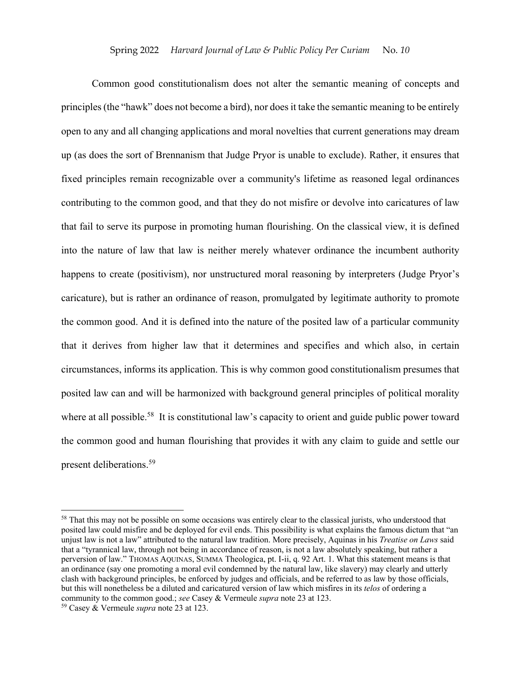Common good constitutionalism does not alter the semantic meaning of concepts and principles (the "hawk" does not become a bird), nor does it take the semantic meaning to be entirely open to any and all changing applications and moral novelties that current generations may dream up (as does the sort of Brennanism that Judge Pryor is unable to exclude). Rather, it ensures that fixed principles remain recognizable over a community's lifetime as reasoned legal ordinances contributing to the common good, and that they do not misfire or devolve into caricatures of law that fail to serve its purpose in promoting human flourishing. On the classical view, it is defined into the nature of law that law is neither merely whatever ordinance the incumbent authority happens to create (positivism), nor unstructured moral reasoning by interpreters (Judge Pryor's caricature), but is rather an ordinance of reason, promulgated by legitimate authority to promote the common good. And it is defined into the nature of the posited law of a particular community that it derives from higher law that it determines and specifies and which also, in certain circumstances, informs its application. This is why common good constitutionalism presumes that posited law can and will be harmonized with background general principles of political morality where at all possible.<sup>58</sup> It is constitutional law's capacity to orient and guide public power toward the common good and human flourishing that provides it with any claim to guide and settle our present deliberations.59

<sup>&</sup>lt;sup>58</sup> That this may not be possible on some occasions was entirely clear to the classical jurists, who understood that posited law could misfire and be deployed for evil ends. This possibility is what explains the famous dictum that "an unjust law is not a law" attributed to the natural law tradition. More precisely, Aquinas in his *Treatise on Laws* said that a "tyrannical law, through not being in accordance of reason, is not a law absolutely speaking, but rather a perversion of law." THOMAS AQUINAS, SUMMA Theologica, pt. I-ii, q. 92 Art. 1. What this statement means is that an ordinance (say one promoting a moral evil condemned by the natural law, like slavery) may clearly and utterly clash with background principles, be enforced by judges and officials, and be referred to as law by those officials, but this will nonetheless be a diluted and caricatured version of law which misfires in its *telos* of ordering a community to the common good.; *see* Casey & Vermeule *supra* note 23 at 123.

<sup>59</sup> Casey & Vermeule *supra* note 23 at 123.